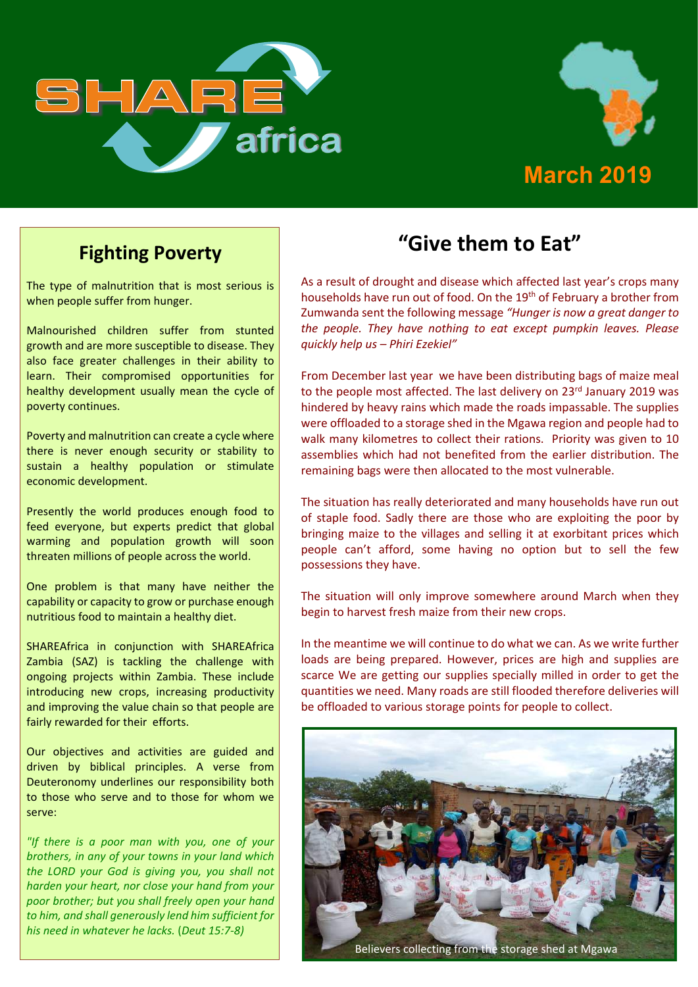



## **Fighting Poverty**

The type of malnutrition that is most serious is when people suffer from hunger.

Malnourished children suffer from stunted growth and are more susceptible to disease. They also face greater challenges in their ability to learn. Their compromised opportunities for healthy development usually mean the cycle of poverty continues.

Poverty and malnutrition can create a cycle where there is never enough security or stability to sustain a healthy population or stimulate economic development.

Presently the world produces enough food to feed everyone, but experts predict that global warming and population growth will soon threaten millions of people across the world.

One problem is that many have neither the capability or capacity to grow or purchase enough nutritious food to maintain a healthy diet.

SHAREAfrica in conjunction with SHAREAfrica Zambia (SAZ) is tackling the challenge with ongoing projects within Zambia. These include introducing new crops, increasing productivity and improving the value chain so that people are fairly rewarded for their efforts.

Our objectives and activities are guided and driven by biblical principles. A verse from Deuteronomy underlines our responsibility both to those who serve and to those for whom we serve:

*"If there is a poor man with you, one of your brothers, in any of your towns in your land which the LORD your God is giving you, you shall not harden your heart, nor close your hand from your poor brother; but you shall freely open your hand to him, and shall generously lend him sufficient for his need in whatever he lacks.* (*Deut 15:7-8)*

# **"Give them to Eat"**

As a result of drought and disease which affected last year's crops many households have run out of food. On the 19<sup>th</sup> of February a brother from Zumwanda sent the following message *"Hunger is now a great danger to the people. They have nothing to eat except pumpkin leaves. Please quickly help us – Phiri Ezekiel"*

From December last year we have been distributing bags of maize meal to the people most affected. The last delivery on 23<sup>rd</sup> January 2019 was hindered by heavy rains which made the roads impassable. The supplies were offloaded to a storage shed in the Mgawa region and people had to walk many kilometres to collect their rations. Priority was given to 10 assemblies which had not benefited from the earlier distribution. The remaining bags were then allocated to the most vulnerable.

The situation has really deteriorated and many households have run out of staple food. Sadly there are those who are exploiting the poor by bringing maize to the villages and selling it at exorbitant prices which people can't afford, some having no option but to sell the few possessions they have.

The situation will only improve somewhere around March when they begin to harvest fresh maize from their new crops.

In the meantime we will continue to do what we can. As we write further loads are being prepared. However, prices are high and supplies are scarce We are getting our supplies specially milled in order to get the quantities we need. Many roads are still flooded therefore deliveries will be offloaded to various storage points for people to collect.

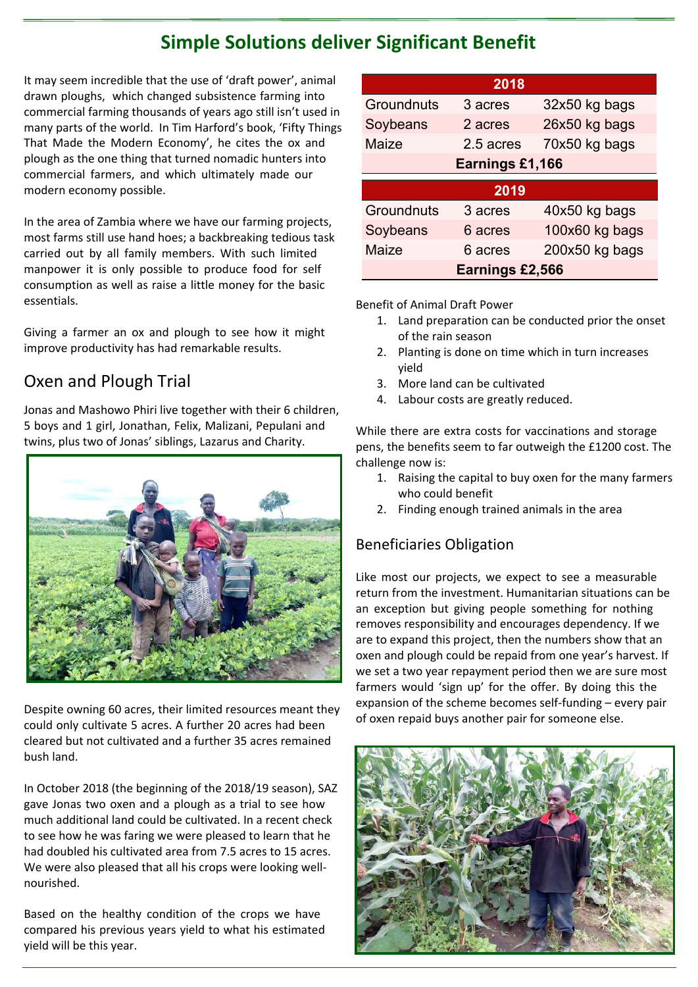## **Simple Solutions deliver Significant Benefit**

It may seem incredible that the use of 'draft power', animal drawn ploughs, which changed subsistence farming into commercial farming thousands of years ago still isn't used in many parts of the world. In Tim Harford's book, 'Fifty Things That Made the Modern Economy', he cites the ox and plough as the one thing that turned nomadic hunters into commercial farmers, and which ultimately made our modern economy possible.

In the area of Zambia where we have our farming projects, most farms still use hand hoes; a backbreaking tedious task carried out by all family members. With such limited manpower it is only possible to produce food for self consumption as well as raise a little money for the basic essentials.

Giving a farmer an ox and plough to see how it might improve productivity has had remarkable results.

## Oxen and Plough Trial

Jonas and Mashowo Phiri live together with their 6 children, 5 boys and 1 girl, Jonathan, Felix, Malizani, Pepulani and twins, plus two of Jonas' siblings, Lazarus and Charity.



Despite owning 60 acres, their limited resources meant they could only cultivate 5 acres. A further 20 acres had been cleared but not cultivated and a further 35 acres remained bush land.

In October 2018 (the beginning of the 2018/19 season), SAZ gave Jonas two oxen and a plough as a trial to see how much additional land could be cultivated. In a recent check to see how he was faring we were pleased to learn that he had doubled his cultivated area from 7.5 acres to 15 acres. We were also pleased that all his crops were looking wellnourished.

Based on the healthy condition of the crops we have compared his previous years yield to what his estimated yield will be this year.

| 2018            |           |                |  |
|-----------------|-----------|----------------|--|
| Groundnuts      | 3 acres   | 32x50 kg bags  |  |
| Soybeans        | 2 acres   | 26x50 kg bags  |  |
| Maize           | 2.5 acres | 70x50 kg bags  |  |
| Earnings £1,166 |           |                |  |
|                 |           |                |  |
|                 | 2019      |                |  |
| Groundnuts      | 3 acres   | 40x50 kg bags  |  |
| Soybeans        | 6 acres   | 100x60 kg bags |  |
| Maize           | 6 acres   | 200x50 kg bags |  |

Benefit of Animal Draft Power

- 1. Land preparation can be conducted prior the onset of the rain season
- 2. Planting is done on time which in turn increases yield
- 3. More land can be cultivated
- 4. Labour costs are greatly reduced.

While there are extra costs for vaccinations and storage pens, the benefits seem to far outweigh the £1200 cost. The challenge now is:

- 1. Raising the capital to buy oxen for the many farmers who could benefit
- 2. Finding enough trained animals in the area

### Beneficiaries Obligation

Like most our projects, we expect to see a measurable return from the investment. Humanitarian situations can be an exception but giving people something for nothing removes responsibility and encourages dependency. If we are to expand this project, then the numbers show that an oxen and plough could be repaid from one year's harvest. If we set a two year repayment period then we are sure most farmers would 'sign up' for the offer. By doing this the expansion of the scheme becomes self-funding – every pair of oxen repaid buys another pair for someone else.

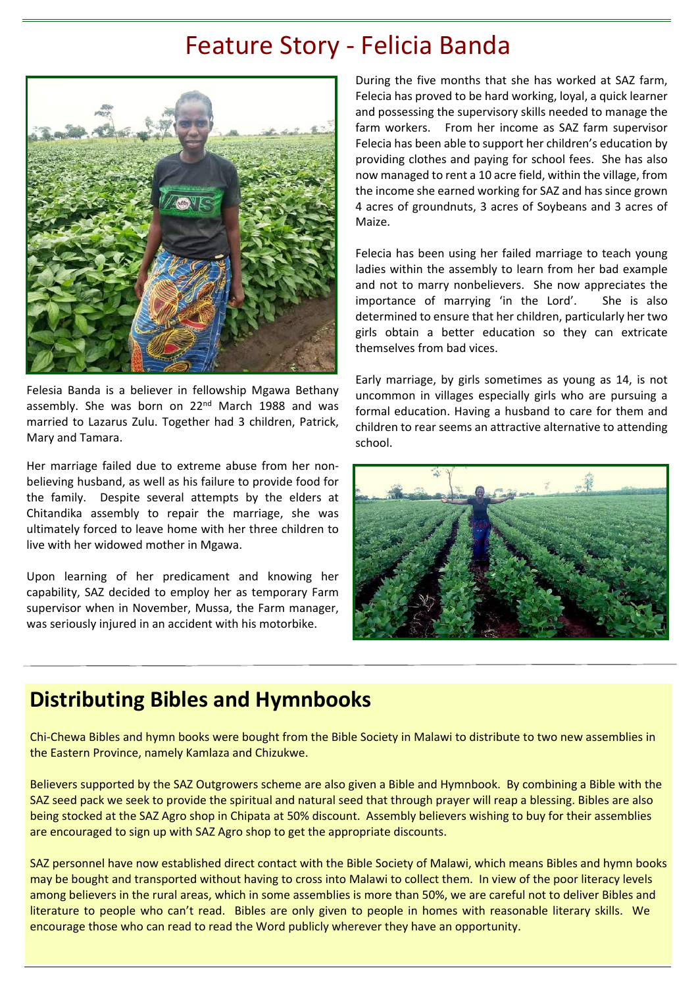# Feature Story - Felicia Banda



Felesia Banda is a believer in fellowship Mgawa Bethany assembly. She was born on 22<sup>nd</sup> March 1988 and was married to Lazarus Zulu. Together had 3 children, Patrick, Mary and Tamara.

Her marriage failed due to extreme abuse from her nonbelieving husband, as well as his failure to provide food for the family. Despite several attempts by the elders at Chitandika assembly to repair the marriage, she was ultimately forced to leave home with her three children to live with her widowed mother in Mgawa.

Upon learning of her predicament and knowing her capability, SAZ decided to employ her as temporary Farm supervisor when in November, Mussa, the Farm manager, was seriously injured in an accident with his motorbike.

During the five months that she has worked at SAZ farm, Felecia has proved to be hard working, loyal, a quick learner and possessing the supervisory skills needed to manage the farm workers. From her income as SAZ farm supervisor Felecia has been able to support her children's education by providing clothes and paying for school fees. She has also now managed to rent a 10 acre field, within the village, from the income she earned working for SAZ and has since grown 4 acres of groundnuts, 3 acres of Soybeans and 3 acres of Maize.

Felecia has been using her failed marriage to teach young ladies within the assembly to learn from her bad example and not to marry nonbelievers. She now appreciates the importance of marrying 'in the Lord'. She is also determined to ensure that her children, particularly her two girls obtain a better education so they can extricate themselves from bad vices.

Early marriage, by girls sometimes as young as 14, is not uncommon in villages especially girls who are pursuing a formal education. Having a husband to care for them and children to rear seems an attractive alternative to attending school.



## **Distributing Bibles and Hymnbooks**

Chi-Chewa Bibles and hymn books were bought from the Bible Society in Malawi to distribute to two new assemblies in the Eastern Province, namely Kamlaza and Chizukwe.

Believers supported by the SAZ Outgrowers scheme are also given a Bible and Hymnbook. By combining a Bible with the SAZ seed pack we seek to provide the spiritual and natural seed that through prayer will reap a blessing. Bibles are also being stocked at the SAZ Agro shop in Chipata at 50% discount. Assembly believers wishing to buy for their assemblies are encouraged to sign up with SAZ Agro shop to get the appropriate discounts.

SAZ personnel have now established direct contact with the Bible Society of Malawi, which means Bibles and hymn books may be bought and transported without having to cross into Malawi to collect them. In view of the poor literacy levels among believers in the rural areas, which in some assemblies is more than 50%, we are careful not to deliver Bibles and literature to people who can't read. Bibles are only given to people in homes with reasonable literary skills. We encourage those who can read to read the Word publicly wherever they have an opportunity.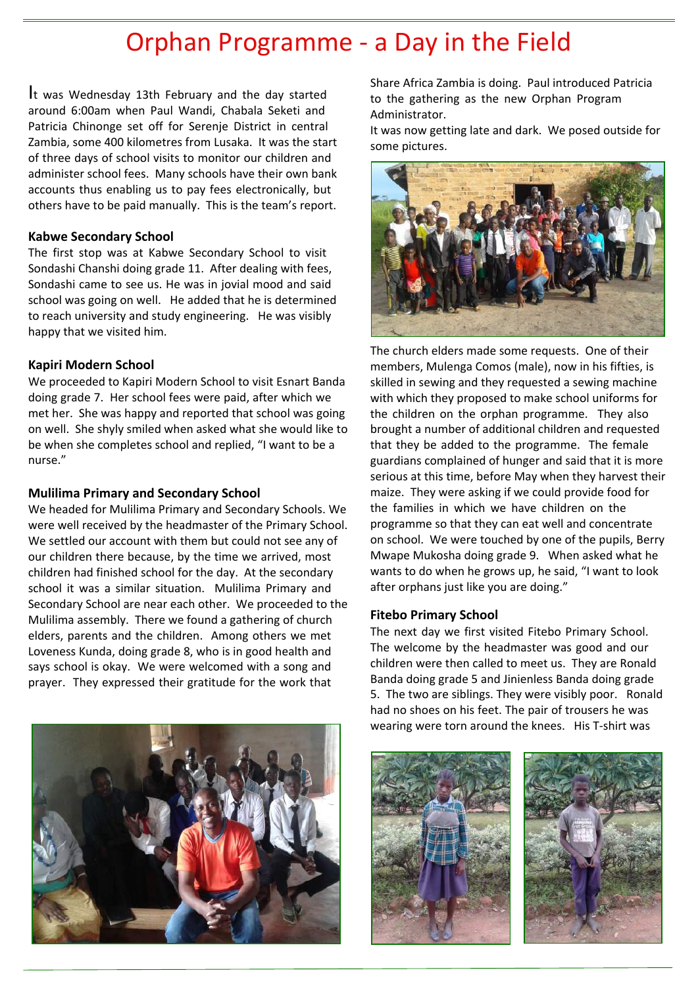# Orphan Programme - a Day in the Field

It was Wednesday 13th February and the day started around 6:00am when Paul Wandi, Chabala Seketi and Patricia Chinonge set off for Serenje District in central Zambia, some 400 kilometres from Lusaka. It was the start of three days of school visits to monitor our children and administer school fees. Many schools have their own bank accounts thus enabling us to pay fees electronically, but others have to be paid manually. This is the team's report.

#### **Kabwe Secondary School**

The first stop was at Kabwe Secondary School to visit Sondashi Chanshi doing grade 11. After dealing with fees, Sondashi came to see us. He was in jovial mood and said school was going on well. He added that he is determined to reach university and study engineering. He was visibly happy that we visited him.

#### **Kapiri Modern School**

We proceeded to Kapiri Modern School to visit Esnart Banda doing grade 7. Her school fees were paid, after which we met her. She was happy and reported that school was going on well. She shyly smiled when asked what she would like to be when she completes school and replied, "I want to be a nurse."

#### **Mulilima Primary and Secondary School**

We headed for Mulilima Primary and Secondary Schools. We were well received by the headmaster of the Primary School. We settled our account with them but could not see any of our children there because, by the time we arrived, most children had finished school for the day. At the secondary school it was a similar situation. Mulilima Primary and Secondary School are near each other. We proceeded to the Mulilima assembly. There we found a gathering of church elders, parents and the children. Among others we met Loveness Kunda, doing grade 8, who is in good health and says school is okay. We were welcomed with a song and prayer. They expressed their gratitude for the work that



Share Africa Zambia is doing. Paul introduced Patricia to the gathering as the new Orphan Program Administrator.

It was now getting late and dark. We posed outside for some pictures.



The church elders made some requests. One of their members, Mulenga Comos (male), now in his fifties, is skilled in sewing and they requested a sewing machine with which they proposed to make school uniforms for the children on the orphan programme. They also brought a number of additional children and requested that they be added to the programme. The female guardians complained of hunger and said that it is more serious at this time, before May when they harvest their maize. They were asking if we could provide food for the families in which we have children on the programme so that they can eat well and concentrate on school. We were touched by one of the pupils, Berry Mwape Mukosha doing grade 9. When asked what he wants to do when he grows up, he said, "I want to look after orphans just like you are doing."

#### **Fitebo Primary School**

The next day we first visited Fitebo Primary School. The welcome by the headmaster was good and our children were then called to meet us. They are Ronald Banda doing grade 5 and Jinienless Banda doing grade 5. The two are siblings. They were visibly poor. Ronald had no shoes on his feet. The pair of trousers he was wearing were torn around the knees. His T-shirt was



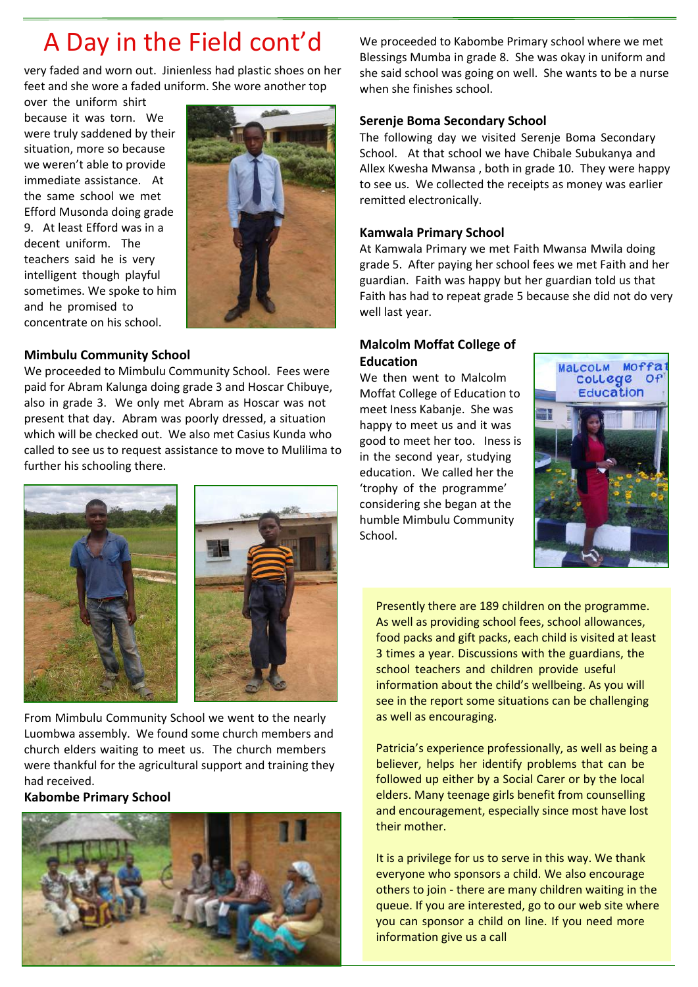# A Day in the Field cont'd

very faded and worn out. Jinienless had plastic shoes on her feet and she wore a faded uniform. She wore another top

over the uniform shirt because it was torn. We were truly saddened by their situation, more so because we weren't able to provide immediate assistance. At the same school we met Efford Musonda doing grade 9. At least Efford was in a decent uniform. The teachers said he is very intelligent though playful sometimes. We spoke to him and he promised to concentrate on his school.



#### **Mimbulu Community School**

We proceeded to Mimbulu Community School. Fees were paid for Abram Kalunga doing grade 3 and Hoscar Chibuye, also in grade 3. We only met Abram as Hoscar was not present that day. Abram was poorly dressed, a situation which will be checked out. We also met Casius Kunda who called to see us to request assistance to move to Mulilima to further his schooling there.



From Mimbulu Community School we went to the nearly Luombwa assembly. We found some church members and church elders waiting to meet us. The church members were thankful for the agricultural support and training they had received.

#### **Kabombe Primary School**



We proceeded to Kabombe Primary school where we met Blessings Mumba in grade 8. She was okay in uniform and she said school was going on well. She wants to be a nurse when she finishes school.

### **Serenje Boma Secondary School**

The following day we visited Serenje Boma Secondary School. At that school we have Chibale Subukanya and Allex Kwesha Mwansa , both in grade 10. They were happy to see us. We collected the receipts as money was earlier remitted electronically.

### **Kamwala Primary School**

At Kamwala Primary we met Faith Mwansa Mwila doing grade 5. After paying her school fees we met Faith and her guardian. Faith was happy but her guardian told us that Faith has had to repeat grade 5 because she did not do very well last year.

### **Malcolm Moffat College of Education**

We then went to Malcolm Moffat College of Education to meet Iness Kabanje. She was happy to meet us and it was good to meet her too. Iness is in the second year, studying education. We called her the 'trophy of the programme' considering she began at the humble Mimbulu Community School.



Presently there are 189 children on the programme. As well as providing school fees, school allowances, food packs and gift packs, each child is visited at least 3 times a year. Discussions with the guardians, the school teachers and children provide useful information about the child's wellbeing. As you will see in the report some situations can be challenging as well as encouraging.

Patricia's experience professionally, as well as being a believer, helps her identify problems that can be followed up either by a Social Carer or by the local elders. Many teenage girls benefit from counselling and encouragement, especially since most have lost their mother.

It is a privilege for us to serve in this way. We thank everyone who sponsors a child. We also encourage others to join - there are many children waiting in the queue. If you are interested, go to our web site where you can sponsor a child on line. If you need more information give us a call